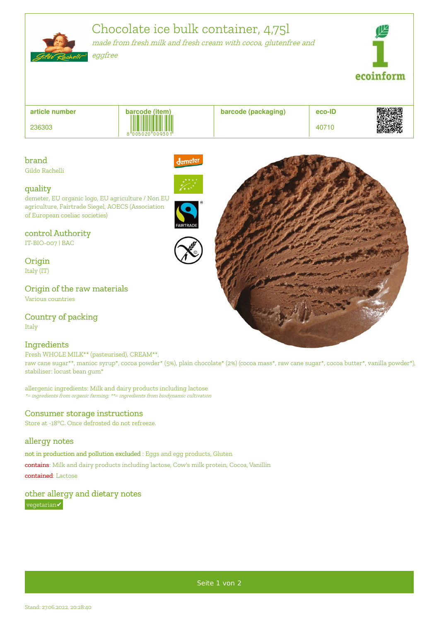Chocolate ice bulk container, 4,75l made from fresh milk and fresh cream with cocoa, glutenfree and eggfree ecoinform



# brand

Gildo Rachelli

### quality

demeter, EU organic logo, EU agriculture / Non EU agriculture, Fairtrade Siegel, AOECS (Association of European coeliac societies)

### control Authority

IT-BIO-007 | BAC

**Origin** Italy (IT)

Origin of the raw materials Various countries

Country of packing

Italy

## **Ingredients**

Fresh WHOLE MILK\*\* (pasteurised), CREAM\*\*,

raw cane sugar\*\*, manioc syrup\*, cocoa powder\* (5%), plain chocolate\* (2%) (cocoa mass\*, raw cane sugar\*, cocoa butter\*, vanilla powder\*), stabiliser: locust bean gum\*

allergenic ingredients: Milk and dairy products including lactose \*= ingredients from organic farming, \*\*= ingredients from biodynamic cultivation

## Consumer storage instructions

Store at -18°C. Once defrosted do not refreeze.

## allergy notes

not in production and pollution excluded : Eggs and egg products, Gluten

contains: Milk and dairy products including lactose, Cow's milk protein, Cocoa, Vanillin contained: Lactose

## other allergy and dietary notes

vegetarian✔